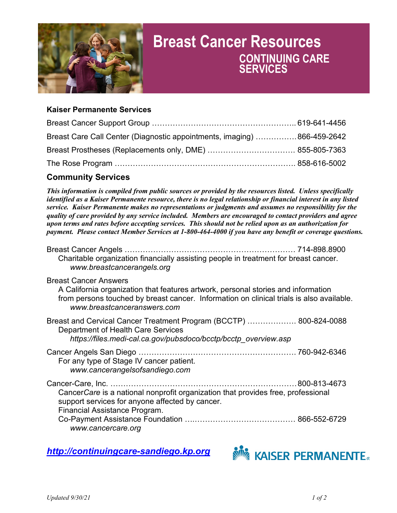

# **Breast Cancer Resources CONTINUING CARE SERVICES**

### **Kaiser Permanente Services**

| Breast Care Call Center (Diagnostic appointments, imaging) 866-459-2642 |  |
|-------------------------------------------------------------------------|--|
|                                                                         |  |
|                                                                         |  |

## **Community Services**

*This information is compiled from public sources or provided by the resources listed. Unless specifically identified as a Kaiser Permanente resource, there is no legal relationship or financial interest in any listed service. Kaiser Permanente makes no representations or judgments and assumes no responsibility for the quality of care provided by any service included. Members are encouraged to contact providers and agree upon terms and rates before accepting services. This should not be relied upon as an authorization for payment. Please contact Member Services at 1-800-464-4000 if you have any benefit or coverage questions.* 

| Breast Cancer Angels ………………………………………………………… 714-898.8900<br>Charitable organization financially assisting people in treatment for breast cancer.<br>www.breastcancerangels.org                                                               |  |
|----------------------------------------------------------------------------------------------------------------------------------------------------------------------------------------------------------------------------------------------|--|
| <b>Breast Cancer Answers</b><br>A California organization that features artwork, personal stories and information<br>from persons touched by breast cancer. Information on clinical trials is also available.<br>www.breastcanceranswers.com |  |
| Breast and Cervical Cancer Treatment Program (BCCTP)  800-824-0088<br>Department of Health Care Services<br>https://files.medi-cal.ca.gov/pubsdoco/bcctp/bcctp overview.asp                                                                  |  |
| For any type of Stage IV cancer patient.<br>www.cancerangelsofsandiego.com                                                                                                                                                                   |  |
| Cancer Care is a national nonprofit organization that provides free, professional<br>support services for anyone affected by cancer.<br>Financial Assistance Program.<br>www.cancercare.org                                                  |  |

*[http://continuingcare-sandiego.kp.org](http://continuingcare-sandiego.kp.org/)*